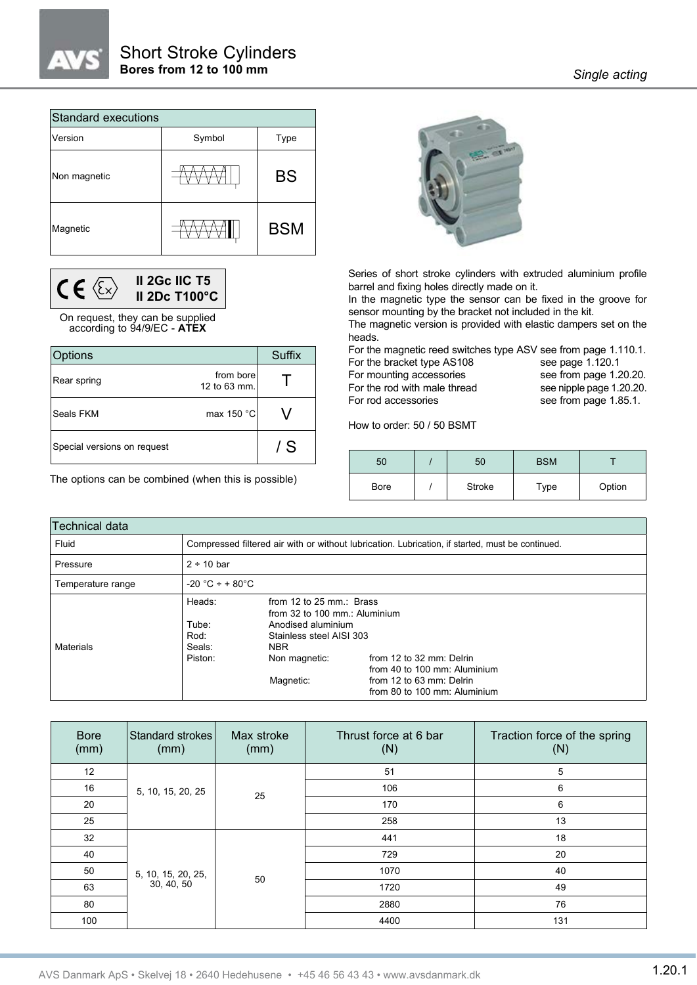| <b>Standard executions</b> |        |            |  |  |  |  |  |  |  |  |  |
|----------------------------|--------|------------|--|--|--|--|--|--|--|--|--|
| Version                    | Symbol | Type       |  |  |  |  |  |  |  |  |  |
| Non magnetic               |        | <b>BS</b>  |  |  |  |  |  |  |  |  |  |
| Magnetic                   |        | <b>BSM</b> |  |  |  |  |  |  |  |  |  |



On request, they can be supplied according to 94/9/EC - **ATEX**

| Options                     |                           | Suffix |
|-----------------------------|---------------------------|--------|
| Rear spring                 | from bore<br>12 to 63 mm. |        |
| Seals FKM                   | max 150 °C                |        |
| Special versions on request |                           | / S    |

The options can be combined (when this is possible)



Series of short stroke cylinders with extruded aluminium profile barrel and fixing holes directly made on it.

In the magnetic type the sensor can be fixed in the groove for sensor mounting by the bracket not included in the kit.

The magnetic version is provided with elastic dampers set on the heads.

For the magnetic reed switches type ASV see from page 1.110.1. For the bracket type AS108 see page 1.120.1

For mounting accessories see from page 1.20.20. For the rod with male thread see nipple page 1.20.20.

For rod accessories see from page 1.85.1.

How to order: 50 / 50 BSMT

| 50          | 50     | <b>BSM</b> |        |
|-------------|--------|------------|--------|
| <b>Bore</b> | Stroke | Type       | Option |

| lTechnical data   |                                              |                                                                                                                                                         |                                                                                                                      |
|-------------------|----------------------------------------------|---------------------------------------------------------------------------------------------------------------------------------------------------------|----------------------------------------------------------------------------------------------------------------------|
| Fluid             |                                              |                                                                                                                                                         | Compressed filtered air with or without lubrication. Lubrication, if started, must be continued.                     |
| Pressure          | $2 \div 10$ bar                              |                                                                                                                                                         |                                                                                                                      |
| Temperature range | $-20 °C + + 80 °C$                           |                                                                                                                                                         |                                                                                                                      |
| <b>Materials</b>  | Heads:<br>Tube:<br>Rod:<br>Seals:<br>Piston: | from 12 to 25 mm.: Brass<br>from 32 to 100 mm.: Aluminium<br>Anodised aluminium<br>Stainless steel AISI 303<br><b>NBR</b><br>Non magnetic:<br>Magnetic: | from 12 to 32 mm: Delrin<br>from 40 to 100 mm: Aluminium<br>from 12 to 63 mm: Delrin<br>from 80 to 100 mm: Aluminium |

| <b>Bore</b><br>(mm) | Standard strokes<br>(mm) | Max stroke<br>(mm) | Thrust force at 6 bar<br>(N) | Traction force of the spring<br>(N) |  |  |  |  |  |
|---------------------|--------------------------|--------------------|------------------------------|-------------------------------------|--|--|--|--|--|
| 12                  |                          |                    | 51                           | $5\phantom{.0}$                     |  |  |  |  |  |
| 16                  | 5, 10, 15, 20, 25        | 25                 | 106                          | 6                                   |  |  |  |  |  |
| 20                  |                          |                    | 170                          | 6                                   |  |  |  |  |  |
| 25                  |                          |                    | 258                          | 13                                  |  |  |  |  |  |
| 32                  |                          |                    | 441                          | 18                                  |  |  |  |  |  |
| 40                  |                          |                    | 729                          | 20                                  |  |  |  |  |  |
| 50                  | 5, 10, 15, 20, 25,       | 50                 | 1070                         | 40                                  |  |  |  |  |  |
| 63                  | 30, 40, 50               |                    | 1720                         | 49                                  |  |  |  |  |  |
| 80                  |                          |                    | 2880                         | 76                                  |  |  |  |  |  |
| 100                 |                          |                    | 4400                         | 131                                 |  |  |  |  |  |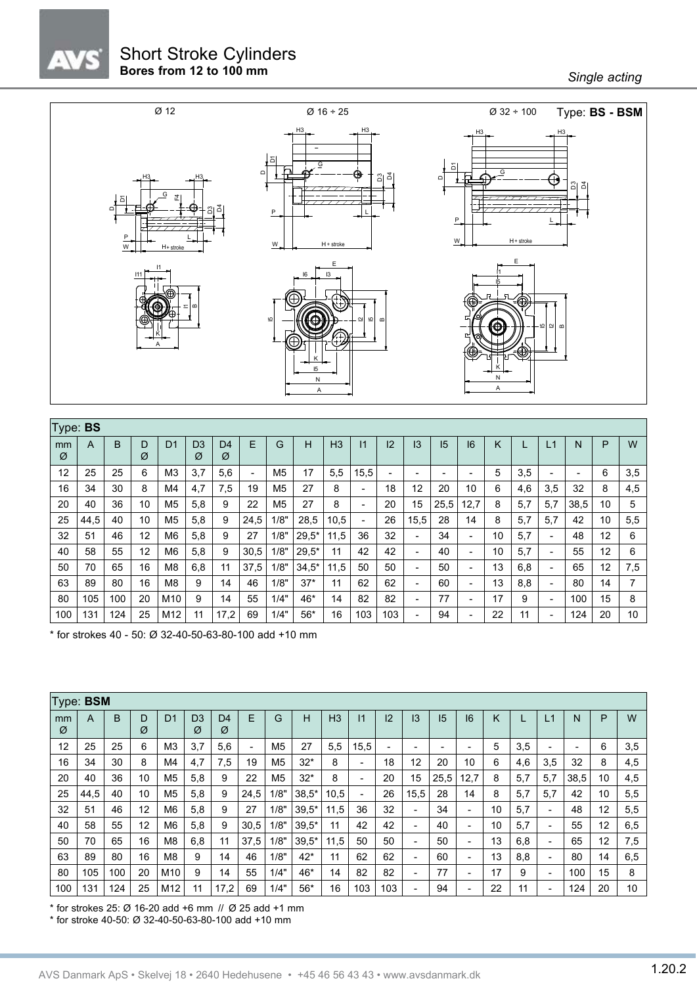## Short Stroke Cylinders **Bores from 12 to 100 mm** *Bores from 12 to 100 mm*



|         | Type: BS |     |        |                |                     |                     |                          |                |         |                |                          |                          |                          |      |                          |    |     |     |                          |    |     |
|---------|----------|-----|--------|----------------|---------------------|---------------------|--------------------------|----------------|---------|----------------|--------------------------|--------------------------|--------------------------|------|--------------------------|----|-----|-----|--------------------------|----|-----|
| mm<br>Ø | A        | B   | D<br>Ø | D <sub>1</sub> | D <sub>3</sub><br>Ø | D <sub>4</sub><br>Ø | E                        | G              | н       | H <sub>3</sub> | 11                       | 12                       | 13                       | 15   | 16                       | Κ  |     | Ľ   | N                        | P  | W   |
| 12      | 25       | 25  | 6      | M <sub>3</sub> | 3,7                 | 5,6                 | $\overline{\phantom{0}}$ | M <sub>5</sub> | 17      | 5,5            | 15,5                     | $\overline{\phantom{0}}$ | $\overline{\phantom{0}}$ | -    | $\overline{\phantom{a}}$ | 5  | 3,5 |     | $\overline{\phantom{a}}$ | 6  | 3,5 |
| 16      | 34       | 30  | 8      | M4             | 4,7                 | 7,5                 | 19                       | M <sub>5</sub> | 27      | 8              | $\overline{\phantom{a}}$ | 18                       | 12                       | 20   | 10                       | 6  | 4,6 | 3,5 | 32                       | 8  | 4,5 |
| 20      | 40       | 36  | 10     | M5             | 5,8                 | 9                   | 22                       | M <sub>5</sub> | 27      | 8              |                          | 20                       | 15                       | 25,5 | 12,7                     | 8  | 5,7 | 5,7 | 38,5                     | 10 | 5   |
| 25      | 44,5     | 40  | 10     | M5             | 5,8                 | 9                   | 24,5                     | 1/8"           | 28,5    | 10,5           | $\overline{\phantom{a}}$ | 26                       | 15,5                     | 28   | 14                       | 8  | 5,7 | 5,7 | 42                       | 10 | 5,5 |
| 32      | 51       | 46  | 12     | M6             | 5,8                 | 9                   | 27                       | 1/8"           | $29.5*$ | 11,5           | 36                       | 32                       | $\overline{\phantom{a}}$ | 34   | $\overline{\phantom{a}}$ | 10 | 5,7 |     | 48                       | 12 | 6   |
| 40      | 58       | 55  | 12     | M6             | 5,8                 | 9                   | 30,5                     | 1/8"           | $29.5*$ | 11             | 42                       | 42                       | $\blacksquare$           | 40   | $\overline{\phantom{a}}$ | 10 | 5,7 |     | 55                       | 12 | 6   |
| 50      | 70       | 65  | 16     | M8             | 6,8                 | 11                  | 37,5                     | 1/8"           | $34.5*$ | 11,5           | 50                       | 50                       | $\blacksquare$           | 50   |                          | 13 | 6,8 |     | 65                       | 12 | 7,5 |
| 63      | 89       | 80  | 16     | M <sub>8</sub> | 9                   | 14                  | 46                       | 1/8"           | $37*$   | 11             | 62                       | 62                       | $\overline{\phantom{0}}$ | 60   |                          | 13 | 8,8 |     | 80                       | 14 |     |
| 80      | 105      | 100 | 20     | M10            | 9                   | 14                  | 55                       | 1/4"           | 46*     | 14             | 82                       | 82                       | $\blacksquare$           | 77   |                          | 17 | 9   |     | 100                      | 15 | 8   |
| 100     | 131      | 124 | 25     | M12            | 11                  | 17,2                | 69                       | 1/4"           | $56*$   | 16             | 103                      | 103                      |                          | 94   |                          | 22 | 11  |     | 124                      | 20 | 10  |

\* for strokes 40 - 50: Ø 32-40-50-63-80-100 add +10 mm

|         | Type: <b>BSM</b> |     |        |                |                     |                     |                          |                |         |                |                              |     |      |      |                              |    |     |                              |      |    |     |
|---------|------------------|-----|--------|----------------|---------------------|---------------------|--------------------------|----------------|---------|----------------|------------------------------|-----|------|------|------------------------------|----|-----|------------------------------|------|----|-----|
| mm<br>Ø | A                | B   | D<br>Ø | D <sub>1</sub> | D <sub>3</sub><br>Ø | D <sub>4</sub><br>Ø | E                        | G              | Н       | H <sub>3</sub> | 11                           | 12  | 13   | 15   | 16                           | Κ  |     | L1                           | N    | P  | W   |
| 12      | 25               | 25  | 6      | M <sub>3</sub> | 3,7                 | 5,6                 | $\overline{\phantom{a}}$ | M <sub>5</sub> | 27      | 5,5            | 15,5                         | -   |      | -    | -                            | 5  | 3,5 | $\overline{\phantom{a}}$     | -    | 6  | 3,5 |
| 16      | 34               | 30  | 8      | M4             | 4,7                 | 7,5                 | 19                       | M <sub>5</sub> | $32*$   | 8              | $\qquad \qquad \blacksquare$ | 18  | 12   | 20   | 10                           | 6  | 4,6 | 3,5                          | 32   | 8  | 4,5 |
| 20      | 40               | 36  | 10     | M <sub>5</sub> | 5,8                 | 9                   | 22                       | M <sub>5</sub> | $32*$   | 8              | $\overline{\phantom{a}}$     | 20  | 15   | 25,5 | 12,7                         | 8  | 5,7 | 5,7                          | 38,5 | 10 | 4,5 |
| 25      | 44,5             | 40  | 10     | M <sub>5</sub> | 5,8                 | 9                   | 24,5                     | 1/8"           | $38.5*$ | 10,5           | $\blacksquare$               | 26  | 15,5 | 28   | 14                           | 8  | 5,7 | 5,7                          | 42   | 10 | 5,5 |
| 32      | 51               | 46  | 12     | M <sub>6</sub> | 5,8                 | 9                   | 27                       | 1/8"           | $39,5*$ | 11,5           | 36                           | 32  |      | 34   | $\qquad \qquad \blacksquare$ | 10 | 5,7 | $\overline{\phantom{a}}$     | 48   | 12 | 5,5 |
| 40      | 58               | 55  | 12     | M <sub>6</sub> | 5,8                 | 9                   | 30,5                     | 1/8"           | $39.5*$ | 11             | 42                           | 42  | -    | 40   | $\overline{\phantom{0}}$     | 10 | 5,7 | $\overline{\phantom{a}}$     | 55   | 12 | 6,5 |
| 50      | 70               | 65  | 16     | M <sub>8</sub> | 6,8                 | 11                  | 37,5                     | 1/8"           | $39.5*$ | 11,5           | 50                           | 50  |      | 50   | $\blacksquare$               | 13 | 6,8 | $\overline{\phantom{a}}$     | 65   | 12 | 7,5 |
| 63      | 89               | 80  | 16     | M <sub>8</sub> | 9                   | 14                  | 46                       | 1/8"           | $42*$   | 11             | 62                           | 62  |      | 60   | $\overline{\phantom{0}}$     | 13 | 8,8 | $\qquad \qquad \blacksquare$ | 80   | 14 | 6,5 |
| 80      | 105              | 100 | 20     | M10            | 9                   | 14                  | 55                       | 1/4"           | 46*     | 14             | 82                           | 82  | -    | 77   | $\overline{\phantom{0}}$     | 17 | 9   | $\blacksquare$               | 100  | 15 | 8   |
| 100     | 131              | 124 | 25     | M12            | 11                  | 17,2                | 69                       | 1/4"           | $56*$   | 16             | 103                          | 103 |      | 94   | $\overline{\phantom{0}}$     | 22 | 11  | $\overline{\phantom{a}}$     | 124  | 20 | 10  |

 $*$  for strokes 25: Ø 16-20 add +6 mm  $\text{/}\text{/}\text{/}\text{/}\text{/}\text{O}$  25 add +1 mm

\* for stroke 40-50: Ø 32-40-50-63-80-100 add +10 mm